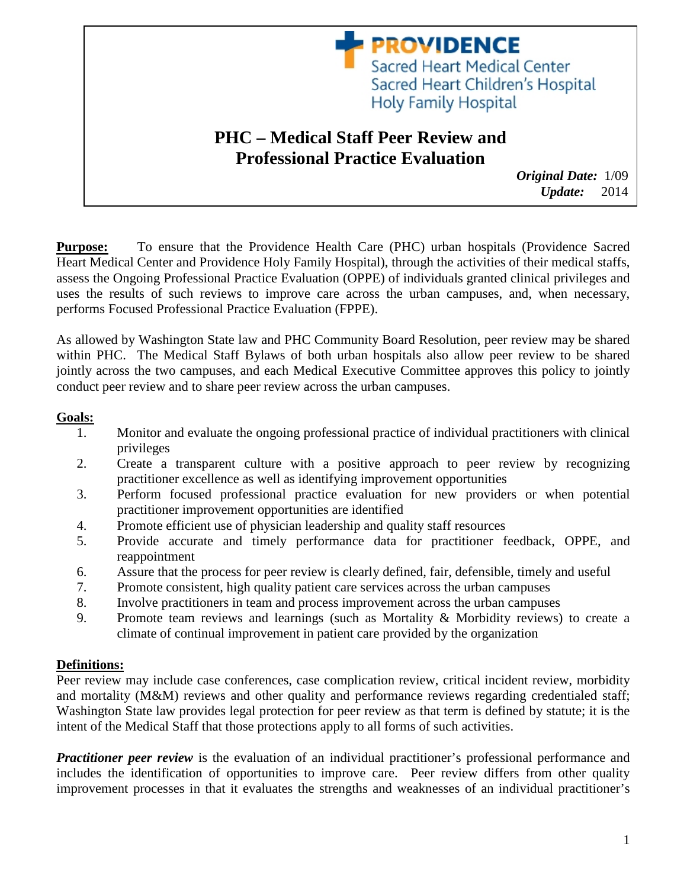**PROVIDENCE** Sacred Heart Medical Center Sacred Heart Children's Hospital Holy Family Hospital

# **PHC – Medical Staff Peer Review and Professional Practice Evaluation**

*Original Date:*1/09 *Update:* 2014

**Purpose:** To ensure that the Providence Health Care (PHC) urban hospitals (Providence Sacred Heart Medical Center and Providence Holy Family Hospital), through the activities of their medical staffs, assess the Ongoing Professional Practice Evaluation (OPPE) of individuals granted clinical privileges and uses the results of such reviews to improve care across the urban campuses, and, when necessary, performs Focused Professional Practice Evaluation (FPPE).

As allowed by Washington State law and PHC Community Board Resolution, peer review may be shared within PHC. The Medical Staff Bylaws of both urban hospitals also allow peer review to be shared jointly across the two campuses, and each Medical Executive Committee approves this policy to jointly conduct peer review and to share peer review across the urban campuses.

#### **Goals:**

- 1. Monitor and evaluate the ongoing professional practice of individual practitioners with clinical privileges
- 2. Create a transparent culture with a positive approach to peer review by recognizing practitioner excellence as well as identifying improvement opportunities
- 3. Perform focused professional practice evaluation for new providers or when potential practitioner improvement opportunities are identified
- 4. Promote efficient use of physician leadership and quality staff resources
- 5. Provide accurate and timely performance data for practitioner feedback, OPPE, and reappointment
- 6. Assure that the process for peer review is clearly defined, fair, defensible, timely and useful
- 7. Promote consistent, high quality patient care services across the urban campuses
- 8. Involve practitioners in team and process improvement across the urban campuses
- 9. Promote team reviews and learnings (such as Mortality & Morbidity reviews) to create a climate of continual improvement in patient care provided by the organization

# **Definitions:**

Peer review may include case conferences, case complication review, critical incident review, morbidity and mortality (M&M) reviews and other quality and performance reviews regarding credentialed staff; Washington State law provides legal protection for peer review as that term is defined by statute; it is the intent of the Medical Staff that those protections apply to all forms of such activities.

*Practitioner peer review* is the evaluation of an individual practitioner's professional performance and includes the identification of opportunities to improve care. Peer review differs from other quality improvement processes in that it evaluates the strengths and weaknesses of an individual practitioner's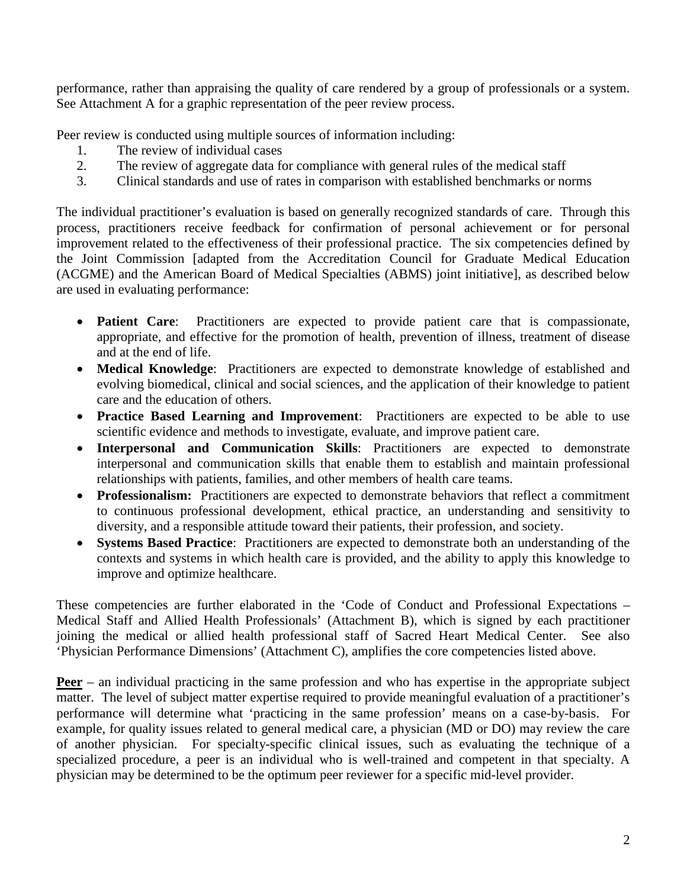performance, rather than appraising the quality of care rendered by a group of professionals or a system. See Attachment A for a graphic representation of the peer review process.

Peer review is conducted using multiple sources of information including:

- 1. The review of individual cases
- 2. The review of aggregate data for compliance with general rules of the medical staff
- 3. Clinical standards and use of rates in comparison with established benchmarks or norms

The individual practitioner's evaluation is based on generally recognized standards of care. Through this process, practitioners receive feedback for confirmation of personal achievement or for personal improvement related to the effectiveness of their professional practice. The six competencies defined by the Joint Commission [adapted from the Accreditation Council for Graduate Medical Education (ACGME) and the American Board of Medical Specialties (ABMS) joint initiative], as described below are used in evaluating performance:

- **Patient Care**: Practitioners are expected to provide patient care that is compassionate, appropriate, and effective for the promotion of health, prevention of illness, treatment of disease and at the end of life.
- **Medical Knowledge**: Practitioners are expected to demonstrate knowledge of established and evolving biomedical, clinical and social sciences, and the application of their knowledge to patient care and the education of others.
- **Practice Based Learning and Improvement**: Practitioners are expected to be able to use scientific evidence and methods to investigate, evaluate, and improve patient care.
- **Interpersonal and Communication Skills**: Practitioners are expected to demonstrate interpersonal and communication skills that enable them to establish and maintain professional relationships with patients, families, and other members of health care teams.
- **Professionalism:** Practitioners are expected to demonstrate behaviors that reflect a commitment to continuous professional development, ethical practice, an understanding and sensitivity to diversity, and a responsible attitude toward their patients, their profession, and society.
- **Systems Based Practice**: Practitioners are expected to demonstrate both an understanding of the contexts and systems in which health care is provided, and the ability to apply this knowledge to improve and optimize healthcare.

These competencies are further elaborated in the 'Code of Conduct and Professional Expectations – Medical Staff and Allied Health Professionals' (Attachment B), which is signed by each practitioner joining the medical or allied health professional staff of Sacred Heart Medical Center. See also 'Physician Performance Dimensions' (Attachment C), amplifies the core competencies listed above.

**Peer** – an individual practicing in the same profession and who has expertise in the appropriate subject matter. The level of subject matter expertise required to provide meaningful evaluation of a practitioner's performance will determine what 'practicing in the same profession' means on a case-by-basis. For example, for quality issues related to general medical care, a physician (MD or DO) may review the care of another physician. For specialty-specific clinical issues, such as evaluating the technique of a specialized procedure, a peer is an individual who is well-trained and competent in that specialty. A physician may be determined to be the optimum peer reviewer for a specific mid-level provider.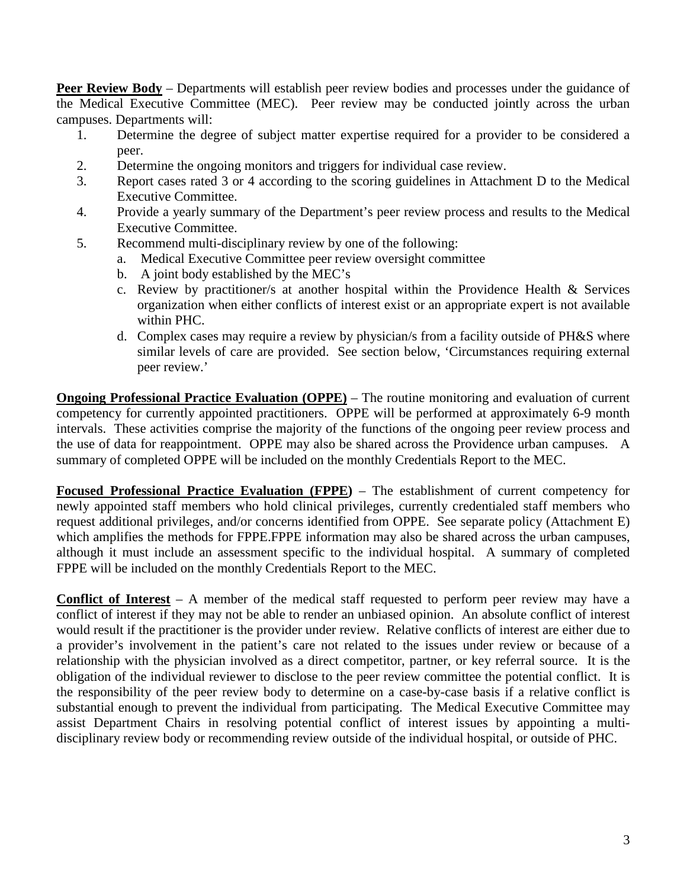**Peer Review Body** – Departments will establish peer review bodies and processes under the guidance of the Medical Executive Committee (MEC). Peer review may be conducted jointly across the urban campuses. Departments will:

- 1. Determine the degree of subject matter expertise required for a provider to be considered a peer.
- 2. Determine the ongoing monitors and triggers for individual case review.
- 3. Report cases rated 3 or 4 according to the scoring guidelines in Attachment D to the Medical Executive Committee.
- 4. Provide a yearly summary of the Department's peer review process and results to the Medical Executive Committee.
- 5. Recommend multi-disciplinary review by one of the following:
	- a. Medical Executive Committee peer review oversight committee
	- b. A joint body established by the MEC's
	- c. Review by practitioner/s at another hospital within the Providence Health & Services organization when either conflicts of interest exist or an appropriate expert is not available within PHC.
	- d. Complex cases may require a review by physician/s from a facility outside of PH&S where similar levels of care are provided. See section below, 'Circumstances requiring external peer review.'

**Ongoing Professional Practice Evaluation (OPPE)** – The routine monitoring and evaluation of current competency for currently appointed practitioners. OPPE will be performed at approximately 6-9 month intervals. These activities comprise the majority of the functions of the ongoing peer review process and the use of data for reappointment. OPPE may also be shared across the Providence urban campuses. A summary of completed OPPE will be included on the monthly Credentials Report to the MEC.

**Focused Professional Practice Evaluation (FPPE)** – The establishment of current competency for newly appointed staff members who hold clinical privileges, currently credentialed staff members who request additional privileges, and/or concerns identified from OPPE. See separate policy (Attachment E) which amplifies the methods for FPPE.FPPE information may also be shared across the urban campuses, although it must include an assessment specific to the individual hospital. A summary of completed FPPE will be included on the monthly Credentials Report to the MEC.

**Conflict of Interest** – A member of the medical staff requested to perform peer review may have a conflict of interest if they may not be able to render an unbiased opinion. An absolute conflict of interest would result if the practitioner is the provider under review. Relative conflicts of interest are either due to a provider's involvement in the patient's care not related to the issues under review or because of a relationship with the physician involved as a direct competitor, partner, or key referral source. It is the obligation of the individual reviewer to disclose to the peer review committee the potential conflict. It is the responsibility of the peer review body to determine on a case-by-case basis if a relative conflict is substantial enough to prevent the individual from participating. The Medical Executive Committee may assist Department Chairs in resolving potential conflict of interest issues by appointing a multidisciplinary review body or recommending review outside of the individual hospital, or outside of PHC.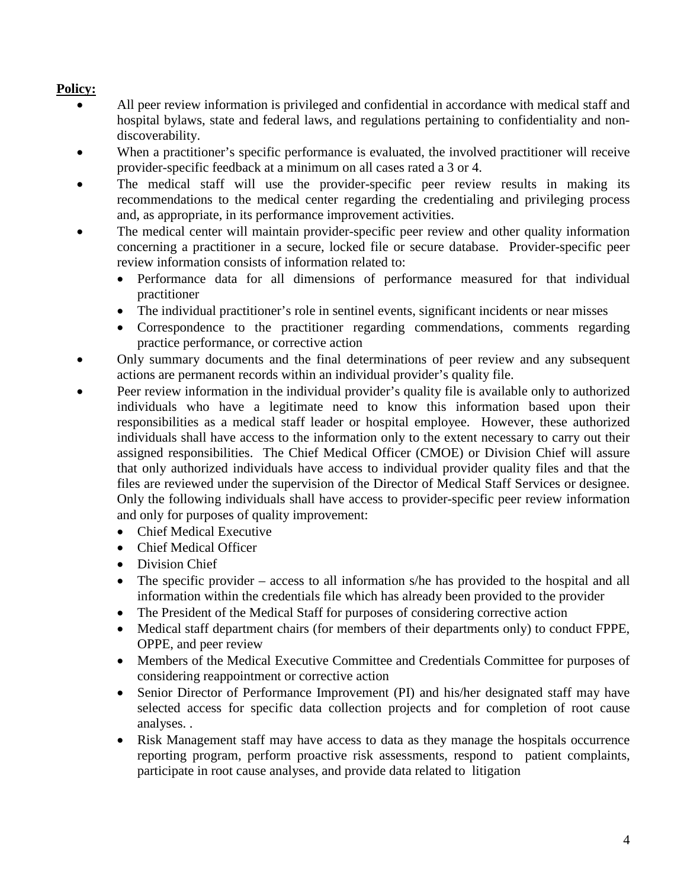# **Policy:**

- All peer review information is privileged and confidential in accordance with medical staff and hospital bylaws, state and federal laws, and regulations pertaining to confidentiality and nondiscoverability.
- When a practitioner's specific performance is evaluated, the involved practitioner will receive provider-specific feedback at a minimum on all cases rated a 3 or 4.
- The medical staff will use the provider-specific peer review results in making its recommendations to the medical center regarding the credentialing and privileging process and, as appropriate, in its performance improvement activities.
- The medical center will maintain provider-specific peer review and other quality information concerning a practitioner in a secure, locked file or secure database. Provider-specific peer review information consists of information related to:
	- Performance data for all dimensions of performance measured for that individual practitioner
	- The individual practitioner's role in sentinel events, significant incidents or near misses
	- Correspondence to the practitioner regarding commendations, comments regarding practice performance, or corrective action
- Only summary documents and the final determinations of peer review and any subsequent actions are permanent records within an individual provider's quality file.
- Peer review information in the individual provider's quality file is available only to authorized individuals who have a legitimate need to know this information based upon their responsibilities as a medical staff leader or hospital employee. However, these authorized individuals shall have access to the information only to the extent necessary to carry out their assigned responsibilities. The Chief Medical Officer (CMOE) or Division Chief will assure that only authorized individuals have access to individual provider quality files and that the files are reviewed under the supervision of the Director of Medical Staff Services or designee. Only the following individuals shall have access to provider-specific peer review information and only for purposes of quality improvement:
	- Chief Medical Executive
	- Chief Medical Officer
	- Division Chief
	- The specific provider access to all information s/he has provided to the hospital and all information within the credentials file which has already been provided to the provider
	- The President of the Medical Staff for purposes of considering corrective action
	- Medical staff department chairs (for members of their departments only) to conduct FPPE, OPPE, and peer review
	- Members of the Medical Executive Committee and Credentials Committee for purposes of considering reappointment or corrective action
	- Senior Director of Performance Improvement (PI) and his/her designated staff may have selected access for specific data collection projects and for completion of root cause analyses. .
	- Risk Management staff may have access to data as they manage the hospitals occurrence reporting program, perform proactive risk assessments, respond to patient complaints, participate in root cause analyses, and provide data related to litigation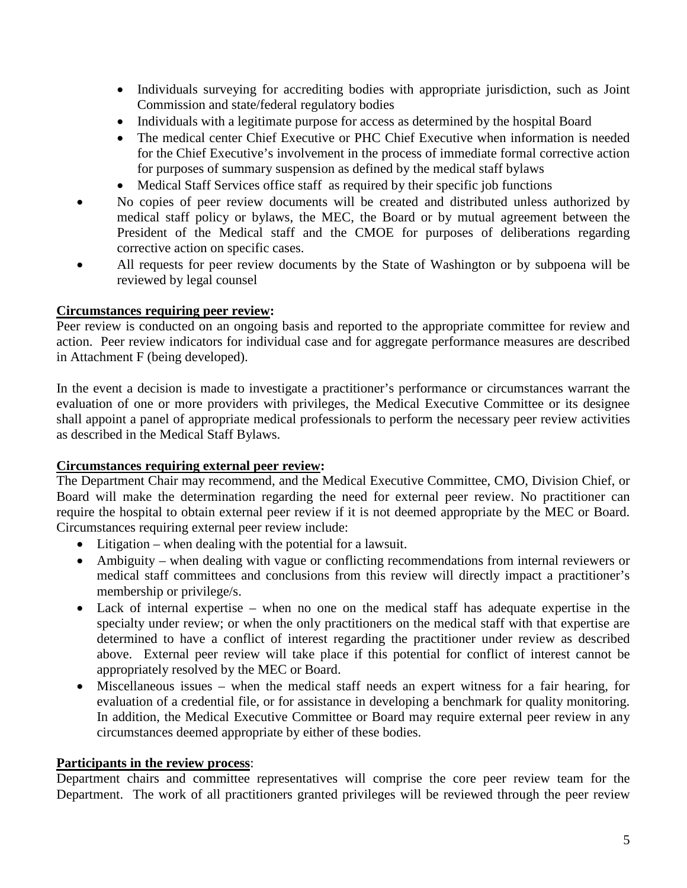- Individuals surveying for accrediting bodies with appropriate jurisdiction, such as Joint Commission and state/federal regulatory bodies
- Individuals with a legitimate purpose for access as determined by the hospital Board
- The medical center Chief Executive or PHC Chief Executive when information is needed for the Chief Executive's involvement in the process of immediate formal corrective action for purposes of summary suspension as defined by the medical staff bylaws
- Medical Staff Services office staff as required by their specific job functions
- No copies of peer review documents will be created and distributed unless authorized by medical staff policy or bylaws, the MEC, the Board or by mutual agreement between the President of the Medical staff and the CMOE for purposes of deliberations regarding corrective action on specific cases.
- All requests for peer review documents by the State of Washington or by subpoena will be reviewed by legal counsel

# **Circumstances requiring peer review:**

Peer review is conducted on an ongoing basis and reported to the appropriate committee for review and action. Peer review indicators for individual case and for aggregate performance measures are described in Attachment F (being developed).

In the event a decision is made to investigate a practitioner's performance or circumstances warrant the evaluation of one or more providers with privileges, the Medical Executive Committee or its designee shall appoint a panel of appropriate medical professionals to perform the necessary peer review activities as described in the Medical Staff Bylaws.

# **Circumstances requiring external peer review:**

The Department Chair may recommend, and the Medical Executive Committee, CMO, Division Chief, or Board will make the determination regarding the need for external peer review. No practitioner can require the hospital to obtain external peer review if it is not deemed appropriate by the MEC or Board. Circumstances requiring external peer review include:

- Litigation when dealing with the potential for a lawsuit.
- Ambiguity when dealing with vague or conflicting recommendations from internal reviewers or medical staff committees and conclusions from this review will directly impact a practitioner's membership or privilege/s.
- Lack of internal expertise when no one on the medical staff has adequate expertise in the specialty under review; or when the only practitioners on the medical staff with that expertise are determined to have a conflict of interest regarding the practitioner under review as described above. External peer review will take place if this potential for conflict of interest cannot be appropriately resolved by the MEC or Board.
- Miscellaneous issues when the medical staff needs an expert witness for a fair hearing, for evaluation of a credential file, or for assistance in developing a benchmark for quality monitoring. In addition, the Medical Executive Committee or Board may require external peer review in any circumstances deemed appropriate by either of these bodies.

# **Participants in the review process**:

Department chairs and committee representatives will comprise the core peer review team for the Department. The work of all practitioners granted privileges will be reviewed through the peer review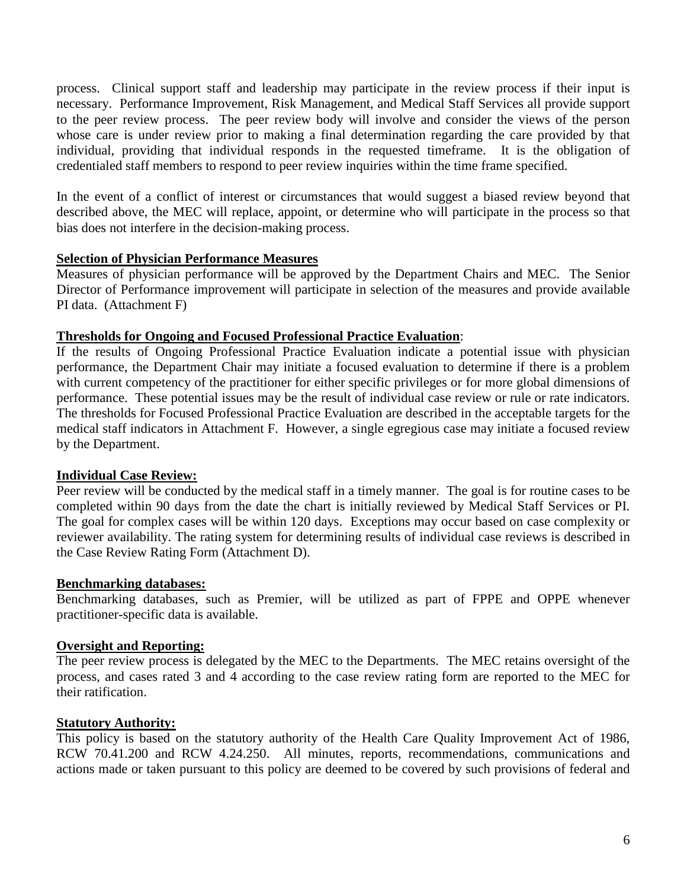process. Clinical support staff and leadership may participate in the review process if their input is necessary. Performance Improvement, Risk Management, and Medical Staff Services all provide support to the peer review process. The peer review body will involve and consider the views of the person whose care is under review prior to making a final determination regarding the care provided by that individual, providing that individual responds in the requested timeframe. It is the obligation of credentialed staff members to respond to peer review inquiries within the time frame specified.

In the event of a conflict of interest or circumstances that would suggest a biased review beyond that described above, the MEC will replace, appoint, or determine who will participate in the process so that bias does not interfere in the decision-making process.

#### **Selection of Physician Performance Measures**

Measures of physician performance will be approved by the Department Chairs and MEC. The Senior Director of Performance improvement will participate in selection of the measures and provide available PI data. (Attachment F)

#### **Thresholds for Ongoing and Focused Professional Practice Evaluation**:

If the results of Ongoing Professional Practice Evaluation indicate a potential issue with physician performance, the Department Chair may initiate a focused evaluation to determine if there is a problem with current competency of the practitioner for either specific privileges or for more global dimensions of performance. These potential issues may be the result of individual case review or rule or rate indicators. The thresholds for Focused Professional Practice Evaluation are described in the acceptable targets for the medical staff indicators in Attachment F. However, a single egregious case may initiate a focused review by the Department.

# **Individual Case Review:**

Peer review will be conducted by the medical staff in a timely manner. The goal is for routine cases to be completed within 90 days from the date the chart is initially reviewed by Medical Staff Services or PI. The goal for complex cases will be within 120 days. Exceptions may occur based on case complexity or reviewer availability. The rating system for determining results of individual case reviews is described in the Case Review Rating Form (Attachment D).

#### **Benchmarking databases:**

Benchmarking databases, such as Premier, will be utilized as part of FPPE and OPPE whenever practitioner-specific data is available.

#### **Oversight and Reporting:**

The peer review process is delegated by the MEC to the Departments. The MEC retains oversight of the process, and cases rated 3 and 4 according to the case review rating form are reported to the MEC for their ratification.

# **Statutory Authority:**

This policy is based on the statutory authority of the Health Care Quality Improvement Act of 1986, RCW 70.41.200 and RCW 4.24.250. All minutes, reports, recommendations, communications and actions made or taken pursuant to this policy are deemed to be covered by such provisions of federal and